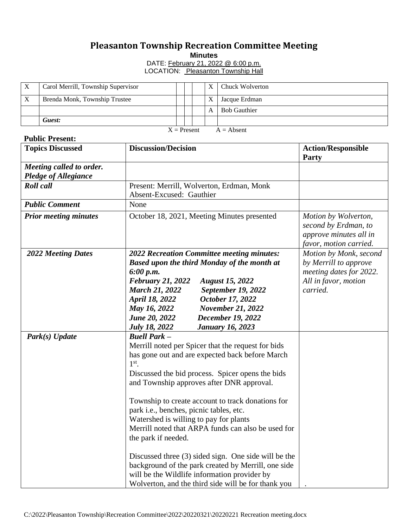## **Pleasanton Township Recreation Committee Meeting**

**Minutes**

DATE: **February 21, 2022 @ 6:00 p.m.** LOCATION: Pleasanton Township Hall

|                               | Carol Merrill, Township Supervisor |  |  |  |   | Chuck Wolverton     |  |  |
|-------------------------------|------------------------------------|--|--|--|---|---------------------|--|--|
|                               | Brenda Monk, Township Trustee      |  |  |  | X | Jacque Erdman       |  |  |
|                               |                                    |  |  |  | A | <b>Bob Gauthier</b> |  |  |
|                               | Guest:                             |  |  |  |   |                     |  |  |
| $X =$ Present<br>$A =$ Absent |                                    |  |  |  |   |                     |  |  |

## **Public Present:**

| <b>Topics Discussed</b>      | <b>Discussion/Decision</b>                                                                                                                                                                                                                                                                                                                                                                                                                                      | <b>Action/Responsible</b><br><b>Party</b>                                                        |
|------------------------------|-----------------------------------------------------------------------------------------------------------------------------------------------------------------------------------------------------------------------------------------------------------------------------------------------------------------------------------------------------------------------------------------------------------------------------------------------------------------|--------------------------------------------------------------------------------------------------|
| Meeting called to order.     |                                                                                                                                                                                                                                                                                                                                                                                                                                                                 |                                                                                                  |
| <b>Pledge of Allegiance</b>  |                                                                                                                                                                                                                                                                                                                                                                                                                                                                 |                                                                                                  |
| <b>Roll</b> call             | Present: Merrill, Wolverton, Erdman, Monk                                                                                                                                                                                                                                                                                                                                                                                                                       |                                                                                                  |
|                              | Absent-Excused: Gauthier                                                                                                                                                                                                                                                                                                                                                                                                                                        |                                                                                                  |
| <b>Public Comment</b>        | None                                                                                                                                                                                                                                                                                                                                                                                                                                                            |                                                                                                  |
| <b>Prior meeting minutes</b> | October 18, 2021, Meeting Minutes presented                                                                                                                                                                                                                                                                                                                                                                                                                     | Motion by Wolverton,<br>second by Erdman, to<br>approve minutes all in<br>favor, motion carried. |
| <b>2022 Meeting Dates</b>    | 2022 Recreation Committee meeting minutes:                                                                                                                                                                                                                                                                                                                                                                                                                      | Motion by Monk, second                                                                           |
|                              | <b>Based upon the third Monday of the month at</b>                                                                                                                                                                                                                                                                                                                                                                                                              | by Merrill to approve                                                                            |
|                              | 6:00 p.m.                                                                                                                                                                                                                                                                                                                                                                                                                                                       | meeting dates for 2022.                                                                          |
|                              | <b>February 21, 2022</b><br><b>August 15, 2022</b>                                                                                                                                                                                                                                                                                                                                                                                                              | All in favor, motion                                                                             |
|                              | <b>March 21, 2022</b><br><b>September 19, 2022</b>                                                                                                                                                                                                                                                                                                                                                                                                              | carried.                                                                                         |
|                              | October 17, 2022<br>April 18, 2022                                                                                                                                                                                                                                                                                                                                                                                                                              |                                                                                                  |
|                              | <b>November 21, 2022</b><br>May 16, 2022                                                                                                                                                                                                                                                                                                                                                                                                                        |                                                                                                  |
|                              | June 20, 2022<br><b>December 19, 2022</b>                                                                                                                                                                                                                                                                                                                                                                                                                       |                                                                                                  |
|                              | <b>July 18, 2022</b><br><b>January 16, 2023</b>                                                                                                                                                                                                                                                                                                                                                                                                                 |                                                                                                  |
| Park(s) Update               | <b>Buell Park -</b><br>Merrill noted per Spicer that the request for bids<br>has gone out and are expected back before March<br>$1st$ .<br>Discussed the bid process. Spicer opens the bids<br>and Township approves after DNR approval.<br>Township to create account to track donations for<br>park i.e., benches, picnic tables, etc.<br>Watershed is willing to pay for plants<br>Merrill noted that ARPA funds can also be used for<br>the park if needed. |                                                                                                  |
|                              | Discussed three (3) sided sign. One side will be the<br>background of the park created by Merrill, one side<br>will be the Wildlife information provider by<br>Wolverton, and the third side will be for thank you                                                                                                                                                                                                                                              |                                                                                                  |